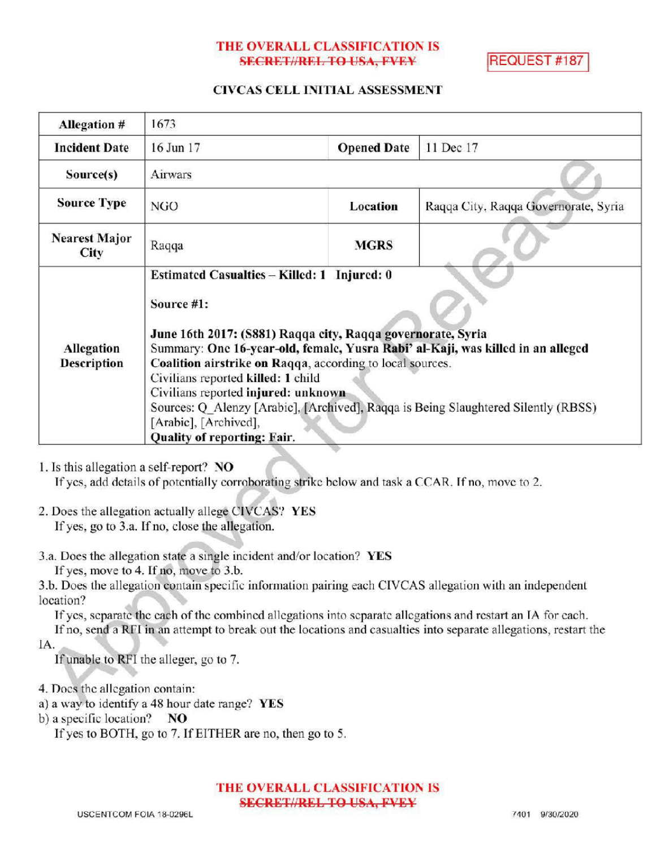### THE OVERALL CLASSIFICATION IS SECRET//REL TO USA, FVEY REQUEST #187

### CIVCAS CELL INITIAL ASSESSMENT

| <b>Allegation #</b>              | 1673                                                                                                                                                                                                                                                                                                                                                                                                                                                                                                       |                    |                                      |
|----------------------------------|------------------------------------------------------------------------------------------------------------------------------------------------------------------------------------------------------------------------------------------------------------------------------------------------------------------------------------------------------------------------------------------------------------------------------------------------------------------------------------------------------------|--------------------|--------------------------------------|
| <b>Incident Date</b>             | $16$ Jun $17$                                                                                                                                                                                                                                                                                                                                                                                                                                                                                              | <b>Opened Date</b> | 11 Dec 17                            |
| Source(s)                        | Airwars                                                                                                                                                                                                                                                                                                                                                                                                                                                                                                    |                    |                                      |
| <b>Source Type</b>               | NGO                                                                                                                                                                                                                                                                                                                                                                                                                                                                                                        | Location           | Raqqa City, Raqqa Governorate, Syria |
| <b>Nearest Major</b><br>City     | Raqqa                                                                                                                                                                                                                                                                                                                                                                                                                                                                                                      | <b>MGRS</b>        |                                      |
| Allegation<br><b>Description</b> | Estimated Casualties - Killed: 1 Injured: 0<br>Source #1:<br>June 16th 2017: (S881) Raqqa city, Raqqa governorate, Syria<br>Summary: One 16-year-old, female, Yusra Rabi' al-Kaji, was killed in an alleged<br>Coalition airstrike on Raqqa, according to local sources.<br>Civilians reported killed: 1 child<br>Civilians reported injured: unknown<br>Sources: Q Alenzy [Arabic], [Archived], Raqqa is Being Slaughtered Silently (RBSS)<br>[Arabic], [Archived],<br><b>Quality of reporting: Fair.</b> |                    |                                      |

1. Is this allegation a self-report? NO

If yes, add details of potentially corroborating strike below and task a CCAR. If no, move to 2.

- 2. Does the allegation actually allege CIVCAS? YES If yes, go to 3.a. If no, close the allegation.
- 3.a. Does the allegation state a single incident and/or location? YES If yes, move to 4. If no, move to  $3.b$ .

3.b. Does the allegation contain specific information pairing each CIVCAS allegation with an independent location?

If yes, separate the each of the combined allegations into separate allegations and restart an IA for each. If no, send a RFI in an attempt to break out the locations and casualties into separate allegations, restart the

IA

If unable to RFI the alleger, go to 7.

- 4. Does the allegation contain:
- a) <sup>a</sup> way to identify <sup>a</sup> 48 hour date range? YES
- b) a specific location?  $NO$

If yes to BOTH, go to 7. If EITHER are no, then go to 5.

THE OVERALL CLASSIFICATION IS **SECRET//REL TO USA, FVEY**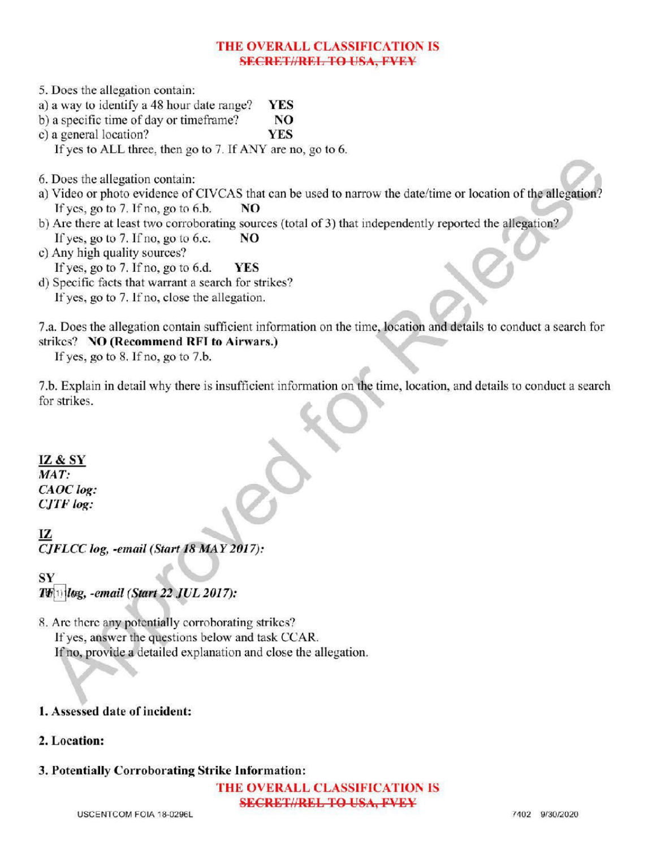### THE OVERALL CLASSIFICATION IS **SECRET//REL TO USA, FVEY**

5. Does the allegation contain: a) a way to identify a 48 hour date range? **YES**<br>b) a specific time of day or time frame? **NO** b) a specific time of day or timeframe? c) a general location? YES If yes to ALL three, then go to  $7$ . If ANY are no, go to  $6$ . 6. Does the allegation contain: a) Video or photo evidence of CIVCAS that can be used to narrow the date/time or location of the allegation?<br>If yes, go to 7. If no, go to 6.b.  $\overline{NO}$ If yes, go to  $7.$  If no, go to  $6.b$ . b) Are there at least two corroborating sources (total of 3) that independently reported the allegation? If yes, go to 7. If no, go to 6.c.  $NO$ c) Any high quality sources?

If yes, go to 7. If no, go to 6.d.  $YES$ 

d) Specific facts that warrant a search for strikes? If yes, go to 7. If no, close the allegation.

7.a. Does the allegation contain sufficient information on the time, location and details to conduct <sup>a</sup> search for strikes? NO (Recommend RFI to Airwars.)

If yes, go to  $8$ . If no, go to  $7.b$ .

7.b. Explain in detail why there is insufficient information on the time, location, and details to conduct a search for strikes.

IZ & SY MAT: CAOC log: CJTF log:

IZ CJFLCC log, -email (Start 18 MAY 2017):

SY  $T$  $\mathbb{F}$  (beg. -email (Start 22 JUL 2017):

8. Are there any potentially corroborating strikes? If yes, answer the questions below and task CCAR. If no, provide a detailed explanation and close the allegation.

# 1. Assessed date of incident:

## 2. Location:

# 3. Potentially Corroborating Strike Information:

THE OVERALL CLASSIFICATION IS SECRET//REL TO USA, FVEY